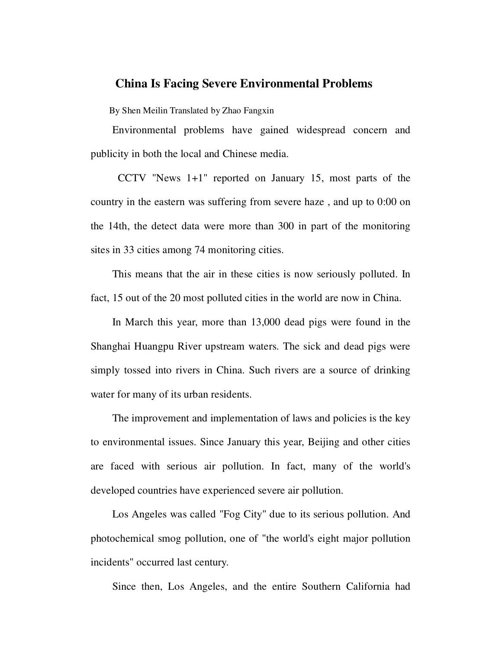## **China Is Facing Severe Environmental Problems**

By Shen Meilin Translated by Zhao Fangxin

Environmental problems have gained widespread concern and publicity in both the local and Chinese media.

 CCTV "News 1+1" reported on January 15, most parts of the country in the eastern was suffering from severe haze , and up to 0:00 on the 14th, the detect data were more than 300 in part of the monitoring sites in 33 cities among 74 monitoring cities.

This means that the air in these cities is now seriously polluted. In fact, 15 out of the 20 most polluted cities in the world are now in China.

In March this year, more than 13,000 dead pigs were found in the Shanghai Huangpu River upstream waters. The sick and dead pigs were simply tossed into rivers in China. Such rivers are a source of drinking water for many of its urban residents.

The improvement and implementation of laws and policies is the key to environmental issues. Since January this year, Beijing and other cities are faced with serious air pollution. In fact, many of the world's developed countries have experienced severe air pollution.

Los Angeles was called "Fog City" due to its serious pollution. And photochemical smog pollution, one of "the world's eight major pollution incidents" occurred last century.

Since then, Los Angeles, and the entire Southern California had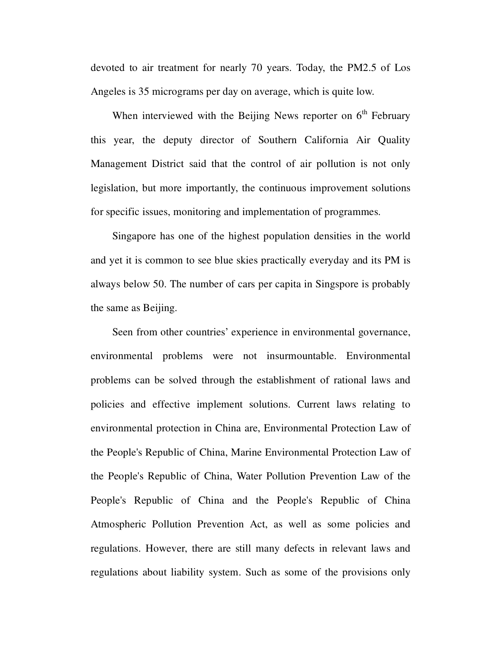devoted to air treatment for nearly 70 years. Today, the PM2.5 of Los Angeles is 35 micrograms per day on average, which is quite low.

When interviewed with the Beijing News reporter on  $6<sup>th</sup>$  February this year, the deputy director of Southern California Air Quality Management District said that the control of air pollution is not only legislation, but more importantly, the continuous improvement solutions for specific issues, monitoring and implementation of programmes.

Singapore has one of the highest population densities in the world and yet it is common to see blue skies practically everyday and its PM is always below 50. The number of cars per capita in Singspore is probably the same as Beijing.

Seen from other countries' experience in environmental governance, environmental problems were not insurmountable. Environmental problems can be solved through the establishment of rational laws and policies and effective implement solutions. Current laws relating to environmental protection in China are, Environmental Protection Law of the People's Republic of China, Marine Environmental Protection Law of the People's Republic of China, Water Pollution Prevention Law of the People's Republic of China and the People's Republic of China Atmospheric Pollution Prevention Act, as well as some policies and regulations. However, there are still many defects in relevant laws and regulations about liability system. Such as some of the provisions only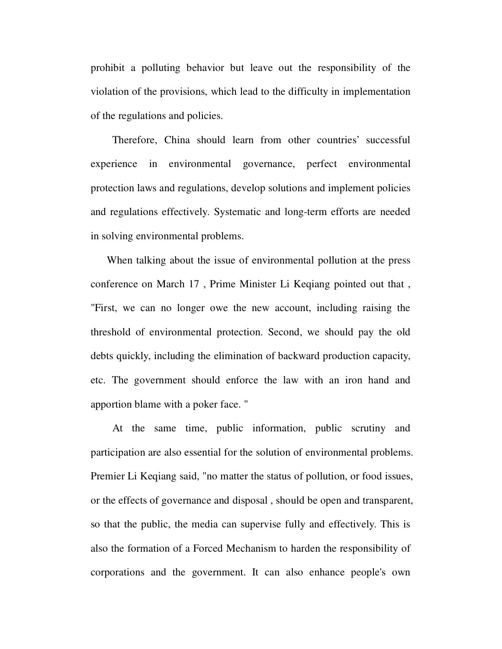prohibit a polluting behavior but leave out the responsibility of the violation of the provisions, which lead to the difficulty in implementation of the regulations and policies.

Therefore, China should learn from other countries' successful experience in environmental governance, perfect environmental protection laws and regulations, develop solutions and implement policies and regulations effectively. Systematic and long-term efforts are needed in solving environmental problems.

 When talking about the issue of environmental pollution at the press conference on March 17 , Prime Minister Li Keqiang pointed out that , "First, we can no longer owe the new account, including raising the threshold of environmental protection. Second, we should pay the old debts quickly, including the elimination of backward production capacity, etc. The government should enforce the law with an iron hand and apportion blame with a poker face. "

At the same time, public information, public scrutiny and participation are also essential for the solution of environmental problems. Premier Li Keqiang said, "no matter the status of pollution, or food issues, or the effects of governance and disposal , should be open and transparent, so that the public, the media can supervise fully and effectively. This is also the formation of a Forced Mechanism to harden the responsibility of corporations and the government. It can also enhance people's own